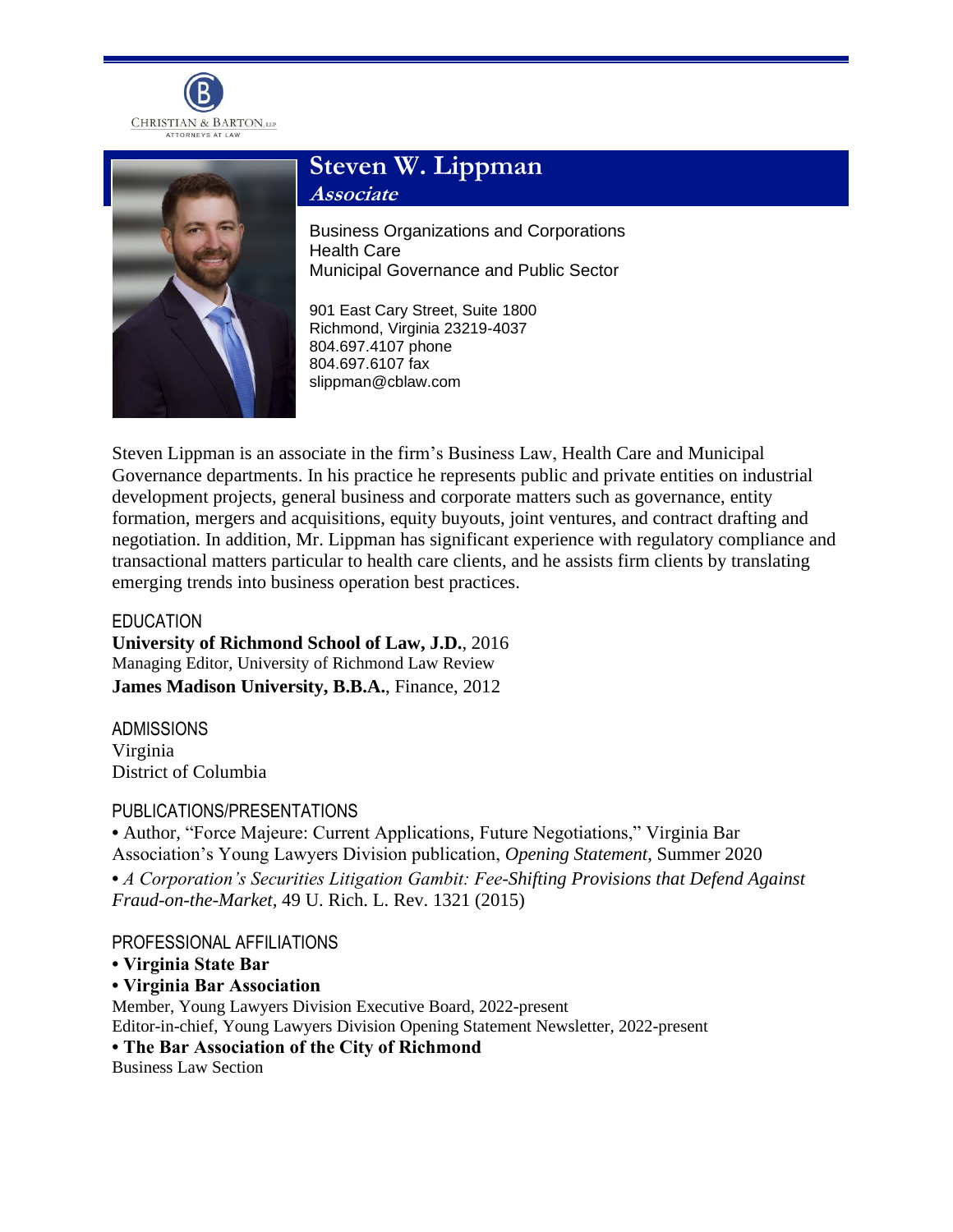



## **Steven W. Lippman Associate**

Business Organizations and Corporations Health Care Municipal Governance and Public Sector

901 East Cary Street, Suite 1800 Richmond, Virginia 23219-4037 804.697.4107 phone 804.697.6107 fax slippman@cblaw.com

Steven Lippman is an associate in the firm's Business Law, Health Care and Municipal Governance departments. In his practice he represents public and private entities on industrial development projects, general business and corporate matters such as governance, entity formation, mergers and acquisitions, equity buyouts, joint ventures, and contract drafting and negotiation. In addition, Mr. Lippman has significant experience with regulatory compliance and transactional matters particular to health care clients, and he assists firm clients by translating emerging trends into business operation best practices.

EDUCATION **University of Richmond School of Law, J.D.**, 2016 Managing Editor, University of Richmond Law Review **James Madison University, B.B.A.**, Finance, 2012

ADMISSIONS Virginia District of Columbia

## PUBLICATIONS/PRESENTATIONS

**•** Author, "Force Majeure: Current Applications, Future Negotiations," Virginia Bar Association's Young Lawyers Division publication, *Opening Statement*, Summer 2020

**•** *A Corporation's Securities Litigation Gambit: Fee-Shifting Provisions that Defend Against Fraud-on-the-Market,* 49 U. Rich. L. Rev. 1321 (2015)

PROFESSIONAL AFFILIATIONS

## **• Virginia State Bar**

**• Virginia Bar Association**

Member, Young Lawyers Division Executive Board, 2022-present Editor-in-chief, Young Lawyers Division Opening Statement Newsletter, 2022-present **• The Bar Association of the City of Richmond** Business Law Section